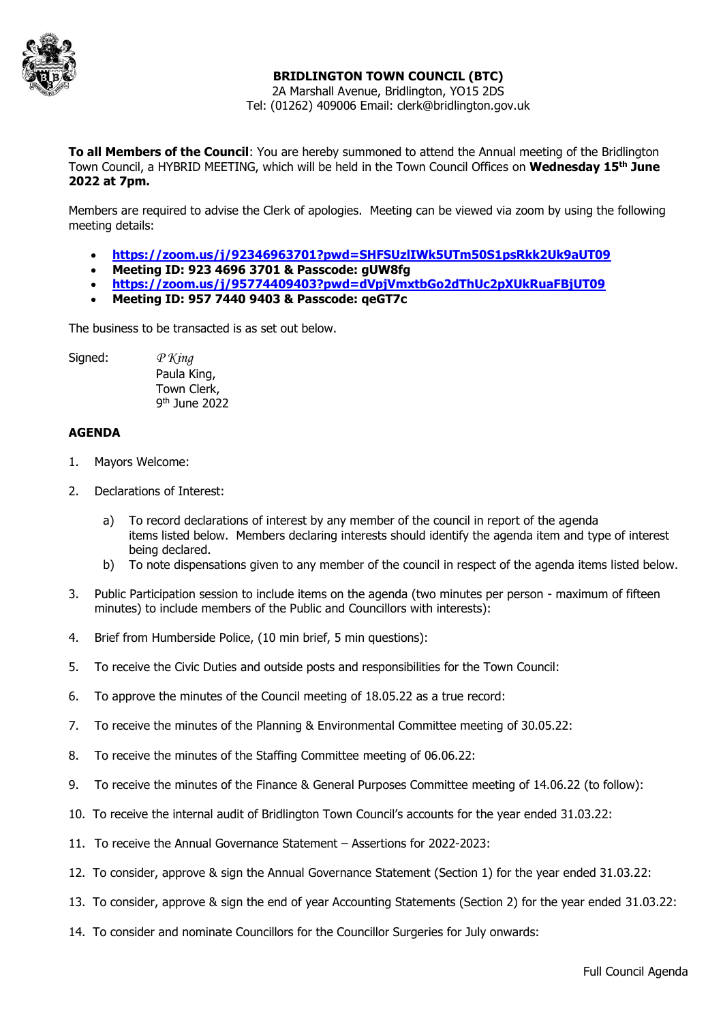

## **BRIDLINGTON TOWN COUNCIL (BTC)**

2A Marshall Avenue, Bridlington, YO15 2DS Tel: (01262) 409006 Email: clerk@bridlington.gov.uk

**To all Members of the Council**: You are hereby summoned to attend the Annual meeting of the Bridlington Town Council, a HYBRID MEETING, which will be held in the Town Council Offices on **Wednesday 15th June 2022 at 7pm.**

Members are required to advise the Clerk of apologies. Meeting can be viewed via zoom by using the following meeting details:

- **<https://zoom.us/j/92346963701?pwd=SHFSUzlIWk5UTm50S1psRkk2Uk9aUT09>**
- **Meeting ID: 923 4696 3701 & Passcode: gUW8fg**
- **<https://zoom.us/j/95774409403?pwd=dVpjVmxtbGo2dThUc2pXUkRuaFBjUT09>**
- **Meeting ID: 957 7440 9403 & Passcode: qeGT7c**

The business to be transacted is as set out below.

Signed: *P King*

Paula King, Town Clerk, 9 th June 2022

## **AGENDA**

- 1. Mayors Welcome:
- 2. Declarations of Interest:
	- a) To record declarations of interest by any member of the council in report of the agenda items listed below. Members declaring interests should identify the agenda item and type of interest being declared.
	- b) To note dispensations given to any member of the council in respect of the agenda items listed below.
- 3. Public Participation session to include items on the agenda (two minutes per person maximum of fifteen minutes) to include members of the Public and Councillors with interests):
- 4. Brief from Humberside Police, (10 min brief, 5 min questions):
- 5. To receive the Civic Duties and outside posts and responsibilities for the Town Council:
- 6. To approve the minutes of the Council meeting of 18.05.22 as a true record:
- 7. To receive the minutes of the Planning & Environmental Committee meeting of 30.05.22:
- 8. To receive the minutes of the Staffing Committee meeting of 06.06.22:
- 9. To receive the minutes of the Finance & General Purposes Committee meeting of 14.06.22 (to follow):
- 10. To receive the internal audit of Bridlington Town Council's accounts for the year ended 31.03.22:
- 11. To receive the Annual Governance Statement Assertions for 2022-2023:
- 12. To consider, approve & sign the Annual Governance Statement (Section 1) for the year ended 31.03.22:
- 13. To consider, approve & sign the end of year Accounting Statements (Section 2) for the year ended 31.03.22:
- 14. To consider and nominate Councillors for the Councillor Surgeries for July onwards: